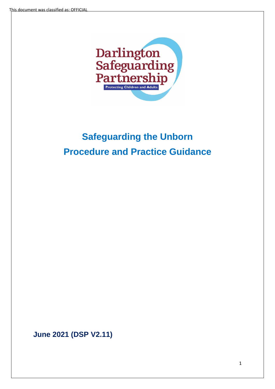

# **Safeguarding the Unborn Procedure and Practice Guidance**

**June 2021 (DSP V2.11)**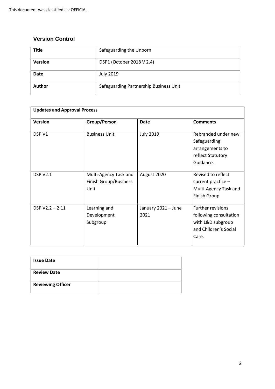# **Version Control**

| <b>Title</b>   | Safeguarding the Unborn                |
|----------------|----------------------------------------|
| <b>Version</b> | DSP1 (October 2018 V 2.4)              |
| <b>Date</b>    | <b>July 2019</b>                       |
| <b>Author</b>  | Safeguarding Partnership Business Unit |

| <b>Updates and Approval Process</b> |                                                        |                             |                                                                                                           |  |  |
|-------------------------------------|--------------------------------------------------------|-----------------------------|-----------------------------------------------------------------------------------------------------------|--|--|
| Version                             | Group/Person                                           | <b>Date</b>                 | <b>Comments</b>                                                                                           |  |  |
| DSP V1                              | <b>Business Unit</b>                                   | <b>July 2019</b>            | Rebranded under new<br>Safeguarding<br>arrangements to<br>reflect Statutory<br>Guidance.                  |  |  |
| <b>DSP V2.1</b>                     | Multi-Agency Task and<br>Finish Group/Business<br>Unit | August 2020                 | Revised to reflect<br>current practice -<br>Multi-Agency Task and<br><b>Finish Group</b>                  |  |  |
| $DSP V2.2 - 2.11$                   | Learning and<br>Development<br>Subgroup                | January 2021 - June<br>2021 | <b>Further revisions</b><br>following consultation<br>with L&D subgroup<br>and Children's Social<br>Care. |  |  |

| <b>Issue Date</b>        |  |
|--------------------------|--|
| <b>Review Date</b>       |  |
| <b>Reviewing Officer</b> |  |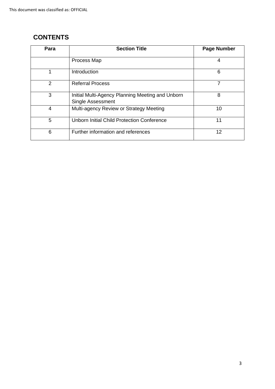# **CONTENTS**

| Para | <b>Section Title</b>                                                  | <b>Page Number</b> |
|------|-----------------------------------------------------------------------|--------------------|
|      | Process Map                                                           | 4                  |
| 1    | Introduction                                                          | 6                  |
| 2    | <b>Referral Process</b>                                               | 7                  |
| 3    | Initial Multi-Agency Planning Meeting and Unborn<br>Single Assessment | 8                  |
| 4    | Multi-agency Review or Strategy Meeting                               | 10                 |
| 5    | <b>Unborn Initial Child Protection Conference</b>                     | 11                 |
| 6    | Further information and references                                    | 12                 |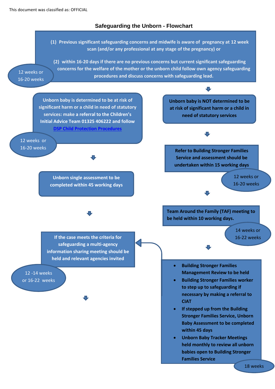## **Safeguarding the Unborn - Flowchart**

**(1) Previous significant safeguarding concerns and midwife is aware of pregnancy at 12 week scan (and/or any professional at any stage of the pregnancy) or**

**(2) within 16-20 days if there are no previous concerns but current significant safeguarding concerns for the welfare of the mother or the unborn child follow own agency safeguarding procedures and discuss concerns with safeguarding lead.**

12 weeks or 16-20 weeks

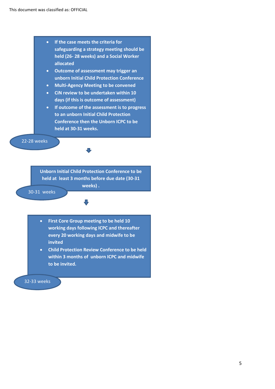

- **Outcome of assessment may trigger an unborn Initial Child Protection Conference**
- **Multi-Agency Meeting to be convened**
- **CiN review to be undertaken within 10 days (if this is outcome of assessment)**
- **If outcome of the assessment is to progress to an unborn Initial Child Protection Conference then the Unborn ICPC to be held at 30-31 weeks.**

22-28 weeks

**Unborn Initial Child Protection Conference to be held at least 3 months before due date (30-31** 

**weeks) .** 

 $\mathbf{J}$ 

30-31 weeks

- **First Core Group meeting to be held 10 working days following ICPC and thereafter every 20 working days and midwife to be invited**
- **Child Protection Review Conference to be held within 3 months of unborn ICPC and midwife to be invited.**

32-33 weeks +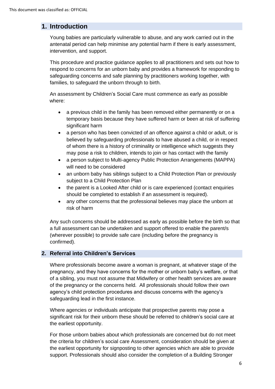# **1. Introduction**

Young babies are particularly vulnerable to abuse, and any work carried out in the antenatal period can help minimise any potential harm if there is early assessment, intervention, and support.

This procedure and practice guidance applies to all practitioners and sets out how to respond to concerns for an unborn baby and provides a framework for responding to safeguarding concerns and safe planning by practitioners working together, with families, to safeguard the unborn through to birth.

An assessment by Children's Social Care must commence as early as possible where:

- a previous child in the family has been removed either permanently or on a temporary basis because they have suffered harm or been at risk of suffering significant harm
- a person who has been convicted of an offence against a child or adult, or is believed by safeguarding professionals to have abused a child, or in respect of whom there is a history of criminality or intelligence which suggests they may pose a risk to children, intends to join or has contact with the family
- a person subject to Multi-agency Public Protection Arrangements (MAPPA) will need to be considered
- an unborn baby has siblings subject to a Child Protection Plan or previously subject to a Child Protection Plan
- the parent is a Looked After child or is care experienced (contact enquiries should be completed to establish if an assessment is required).
- any other concerns that the professional believes may place the unborn at risk of harm

Any such concerns should be addressed as early as possible before the birth so that a full assessment can be undertaken and support offered to enable the parent/s (wherever possible) to provide safe care (including before the pregnancy is confirmed).

#### **2. Referral into Children's Services**

Where professionals become aware a woman is pregnant, at whatever stage of the pregnancy, and they have concerns for the mother or unborn baby's welfare, or that of a sibling, you must not assume that Midwifery or other health services are aware of the pregnancy or the concerns held. All professionals should follow their own agency's child protection procedures and discuss concerns with the agency's safeguarding lead in the first instance.

Where agencies or individuals anticipate that prospective parents may pose a significant risk for their unborn these should be referred to children's social care at the earliest opportunity.

For those unborn babies about which professionals are concerned but do not meet the criteria for children's social care Assessment, consideration should be given at the earliest opportunity for signposting to other agencies which are able to provide support. Professionals should also consider the completion of a Building Stronger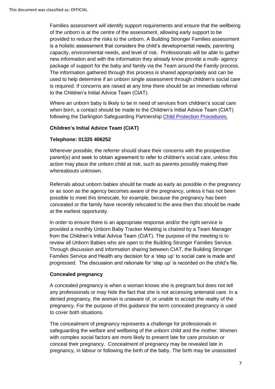Families assessment will identify support requirements and ensure that the wellbeing of the unborn is at the centre of the assessment, allowing early support to be provided to reduce the risks to the unborn. A Building Stronger Families assessment is a holistic assessment that considers the child's developmental needs, parenting capacity, environmental needs, and level of risk. Professionals will be able to gather new information and with the information they already know provide a multi- agency package of support for the baby and family via the Team around the Family process. The information gathered through this process is shared appropriately and can be used to help determine if an unborn single assessment through children's social care is required. If concerns are raised at any time there should be an immediate referral to the Children's Initial Advice Team (CIAT).

Where an unborn baby is likely to be in need of services from children's social care when born, a contact should be made to the Children's Initial Advice Team (CIAT) following the Darlington Safeguarding Partnership [Child Protection Procedures.](https://www.darlington-safeguarding-partnership.co.uk/professionals/multi-agency-safeguarding-child-protection-procedures/) 

#### **Children's Initial Advice Team (CIAT)**

#### **Telephone: 01325 406252**

Wherever possible, the referrer should share their concerns with the prospective parent(s) and seek to obtain agreement to refer to children's social care, unless this action may place the unborn child at risk, such as parents possibly making their whereabouts unknown.

Referrals about unborn babies should be made as early as possible in the pregnancy or as soon as the agency becomes aware of the pregnancy, unless it has not been possible to meet this timescale, for example, because the pregnancy has been concealed or the family have recently relocated to the area then this should be made at the earliest opportunity.

In order to ensure there is an appropriate response and/or the right service is provided a monthly Unborn Baby Tracker Meeting is chaired by a Team Manager from the Children's Initial Advice Team (CIAT). The purpose of the meeting is to review all Unborn Babies who are open to the Building Stronger Families Service. Through discussion and information sharing between CIAT, the Building Stronger Families Service and Health any decision for a 'step up' to social care is made and progressed. The discussion and rationale for 'step up' is recorded on the child's file.

#### **Concealed pregnancy**

A concealed pregnancy is when a woman knows she is pregnant but does not tell any professionals or may hide the fact that she is not accessing antenatal care. In a denied pregnancy, the woman is unaware of, or unable to accept the reality of the pregnancy. For the purpose of this guidance the term concealed pregnancy is used to cover both situations.

The concealment of pregnancy represents a challenge for professionals in safeguarding the welfare and wellbeing of the unborn child and the mother. Women with complex social factors are more likely to present late for care provision or conceal their pregnancy. Concealment of pregnancy may be revealed late in pregnancy, in labour or following the birth of the baby. The birth may be unassisted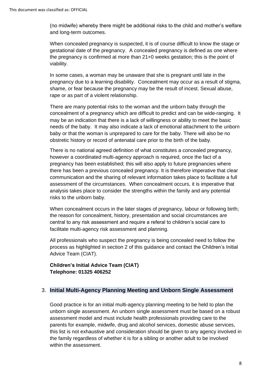(no midwife) whereby there might be additional risks to the child and mother's welfare and long-term outcomes.

When concealed pregnancy is suspected, it is of course difficult to know the stage or gestational date of the pregnancy. A concealed pregnancy is defined as one where the pregnancy is confirmed at more than 21+0 weeks gestation; this is the point of viability.

In some cases, a woman may be unaware that she is pregnant until late in the pregnancy due to a learning disability. Concealment may occur as a result of stigma, shame, or fear because the pregnancy may be the result of incest. Sexual abuse, rape or as part of a violent relationship.

There are many potential risks to the woman and the unborn baby through the concealment of a pregnancy which are difficult to predict and can be wide-ranging. It may be an indication that there is a lack of willingness or ability to meet the basic needs of the baby. It may also indicate a lack of emotional attachment to the unborn baby or that the woman is unprepared to care for the baby. There will also be no obstretic history or record of antenatal care prior to the birth of the baby.

There is no national agreed definition of what constitutes a concealed pregnancy, however a coordinated multi-agency approach is required, once the fact of a pregnancy has been established; this will also apply to future pregnancies where there has been a previous concealed pregnancy. It is therefore imperative that clear communication and the sharing of relevant information takes place to facilitate a full assessment of the circumstances. When concealment occurs, it is imperative that analysis takes place to consider the strengths within the family and any potential risks to the unborn baby.

When concealment occurs in the later stages of pregnancy, labour or following birth; the reason for concealment, history, presentation and social circumstances are central to any risk assessment and require a referal to children's social care to facilitate multi-agency risk assessment and planning.

All professionals who suspect the pregnancy is being concealed need to follow the process as highlighted in section 2 of this guidance and contact the Children's Initial Advice Team (CIAT).

**Children's Initial Advice Team (CIAT) Telephone: 01325 406252**

#### 3. **Initial Multi-Agency Planning Meeting and Unborn Single Assessment**

Good practice is for an initial multi-agency planning meeting to be held to plan the unborn single assessment. An unborn single assessment must be based on a robust assessment model and must include health professionals providing care to the parents for example, midwife, drug and alcohol services, domestic abuse services, this list is not exhaustive and consideration should be given to any agency involved in the family regardless of whether it is for a sibling or another adult to be involved within the assessment.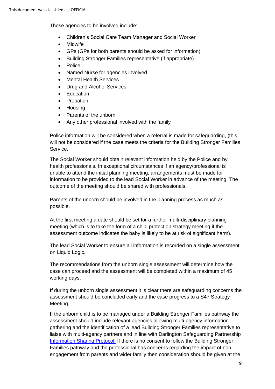Those agencies to be involved include:

- Children's Social Care Team Manager and Social Worker
- Midwife
- GPs (GPs for both parents should be asked for information)
- Building Stronger Families representative (if appropriate)
- Police
- Named Nurse for agencies involved
- Mental Health Services
- Drug and Alcohol Services
- **Education**
- Probation
- Housing
- Parents of the unborn
- Any other professional involved with the family

Police information will be considered when a referral is made for safeguarding, (this will not be considered if the case meets the criteria for the Building Stronger Families Service.

The Social Worker should obtain relevant information held by the Police and by health professionals. In exceptional circumstances if an agency/professional is unable to attend the initial planning meeting, arrangements must be made for information to be provided to the lead Social Worker in advance of the meeting. The outcome of the meeting should be shared with professionals.

Parents of the unborn should be involved in the planning process as much as possible.

At the first meeting a date should be set for a further multi-disciplinary planning meeting (which is to take the form of a child protection strategy meeting if the assessment outcome indicates the baby is likely to be at risk of significant harm).

The lead Social Worker to ensure all information is recorded on a single assessment on Liquid Logic.

The recommendations from the unborn single assessment will determine how the case can proceed and the assessment will be completed within a maximum of 45 working days.

If during the unborn single assessment it is clear there are safeguarding concerns the assessment should be concluded early and the case progress to a S47 Strategy Meeting.

If the unborn child is to be managed under a Building Stronger Families pathway the assessment should include relevant agencies allowing multi-agency information gathering and the identification of a lead Building Stronger Families representative to liaise with multi-agency partners and in line with Darlington Safeguarding Partnership [Information Sharing Protocol.](https://www.darlington-safeguarding-partnership.co.uk/professionals/multi-agency-practice-guidance/) If there is no consent to follow the Building Stronger Families pathway and the professional has concerns regarding the impact of nonengagement from parents and wider family then consideration should be given at the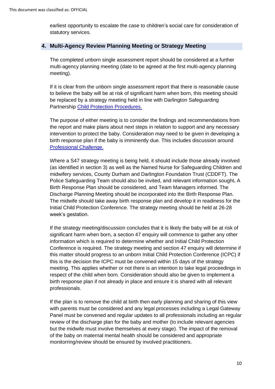earliest opportunity to escalate the case to children's social care for consideration of statutory services.

#### **4. Multi-Agency Review Planning Meeting or Strategy Meeting**

The completed unborn single assessment report should be considered at a further multi-agency planning meeting (date to be agreed at the first multi-agency planning meeting).

If it is clear from the unborn single assessment report that there is reasonable cause to believe the baby will be at risk of significant harm when born, this meeting should be replaced by a strategy meeting held in line with Darlington Safeguarding Partnership [Child Protection Procedures.](https://www.darlington-safeguarding-partnership.co.uk/professionals/multi-agency-safeguarding-child-protection-procedures/)

The purpose of either meeting is to consider the findings and recommendations from the report and make plans about next steps in relation to support and any necessary intervention to protect the baby. Consideration may need to be given in developing a birth response plan if the baby is imminently due. This includes discussion around [Professional Challenge.](https://www.darlington-safeguarding-partnership.co.uk/professionals/multi-agency-practice-guidance/)

Where a S47 strategy meeting is being held, it should include those already involved (as identified in section 3) as well as the Named Nurse for Safeguarding Children and midwifery services, County Durham and Darlington Foundation Trust (CDDFT). The Police Safeguarding Team should also be invited, and relevant information sought**.** A Birth Response Plan should be considered, and Team Managers informed. The Discharge Planning Meeting should be incorporated into the Birth Response Plan. The midwife should take away birth response plan and develop it in readiness for the Initial Child Protection Conference. The strategy meeting should be held at 26-28 week's gestation.

If the strategy meeting/discussion concludes that it is likely the baby will be at risk of significant harm when born, a section 47 enquiry will commence to gather any other information which is required to determine whether and Initial Child Protection Conference is required. The strategy meeting and section 47 enquiry will determine if this matter should progress to an unborn Initial Child Protection Conference (ICPC) if this is the decision the ICPC must be convened within 15 days of the strategy meeting. This applies whether or not there is an intention to take legal proceedings in respect of the child when born. Consideration should also be given to implement a birth response plan if not already in place and ensure it is shared with all relevant professionals.

If the plan is to remove the child at birth then early planning and sharing of this view with parents must be considered and any legal processes including a Legal Gateway Panel must be convened and regular updates to all professionals including an regular review of the discharge plan for the baby and mother (to include relevant agencies but the midwife must involve themselves at every stage). The impact of the removal of the baby on maternal mental health should be considered and appropriate monitorring/review should be ensured by involved practitioners.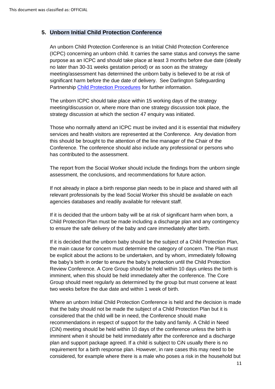### **5. Unborn Initial Child Protection Conference**

An unborn Child Protection Conference is an Initial Child Protection Conference (ICPC) concerning an unborn child. It carries the same status and conveys the same purpose as an ICPC and should take place at least 3 months before due date (ideally no later than 30-31 weeks gestation period) or as soon as the strategy meeting/assessment has determined the unborn baby is believed to be at risk of significant harm before the due date of delivery. See Darlington Safeguarding Partnership [Child Protection Procedures](https://www.darlington-safeguarding-partnership.co.uk/professionals/child-protection-procedures/) for further information.

The unborn ICPC should take place within 15 working days of the strategy meeting/discussion or, where more than one strategy discussion took place, the strategy discussion at which the section 47 enquiry was initiated.

Those who normally attend an ICPC must be invited and it is essential that midwifery services and health visitors are represented at the Conference. Any deviation from this should be brought to the attention of the line manager of the Chair of the Conference. The conference should also include any professional or persons who has contributed to the assessment.

The report from the Social Worker should include the findings from the unborn single assessment, the conclusions, and recommendations for future action.

If not already in place a birth response plan needs to be in place and shared with all relevant professionals by the lead Social Worker this should be available on each agencies databases and readily available for relevant staff.

If it is decided that the unborn baby will be at risk of significant harm when born, a Child Protection Plan must be made including a discharge plan and any contingency to ensure the safe delivery of the baby and care immediately after birth.

If it is decided that the unborn baby should be the subject of a Child Protection Plan, the main cause for concern must determine the category of concern. The Plan must be explicit about the actions to be undertaken, and by whom, immediately following the baby's birth in order to ensure the baby's protection until the Child Protection Review Conference. A Core Group should be held within 10 days unless the birth is imminent, when this should be held immediately after the conference. The Core Group should meet regularly as determined by the group but must convene at least two weeks before the due date and within 1 week of birth.

Where an unborn Initial Child Protection Conference is held and the decision is made that the baby should not be made the subject of a Child Protection Plan but it is considered that the child will be in need, the Conference should make recommendations in respect of support for the baby and family. A Child in Need (CiN) meeting should be held within 10 days of the conference unless the birth is imminent when it should be held immediately after the conference and a discharge plan and support package agreed. If a child is subject to CiN usually there is no requirement for a birth response plan. However, in rare cases this may need to be considered, for example where there is a male who poses a risk in the household but